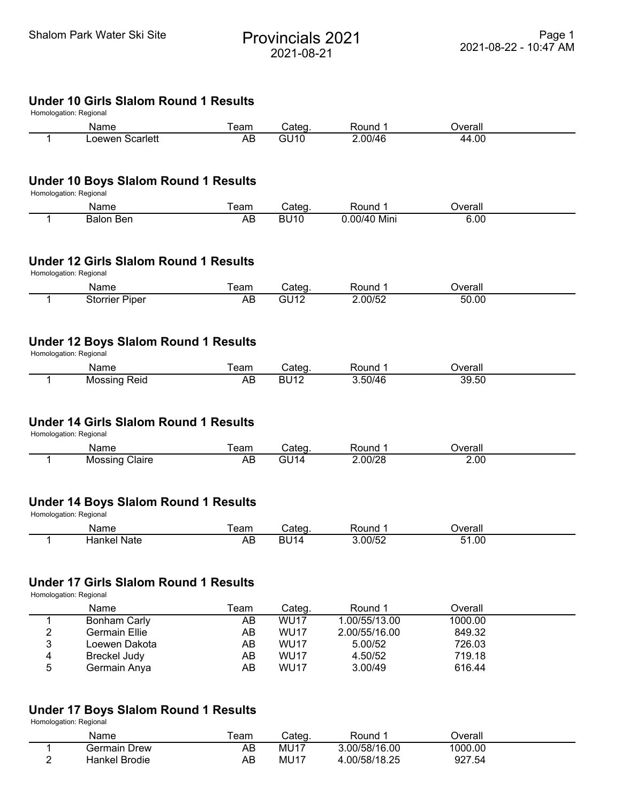# Shalom Park Water Ski Site<br>
Provincials 2021 2021-08-21

# **Under 10 Girls Slalom Round 1 Results**

|   | Name                                                                   | Team              | Categ.                | Round 1            | Overall |  |
|---|------------------------------------------------------------------------|-------------------|-----------------------|--------------------|---------|--|
| 1 | Loewen Scarlett                                                        | $\overline{AB}$   | GU10                  | 2.00/46            | 44.00   |  |
|   | <b>Under 10 Boys Slalom Round 1 Results</b><br>Homologation: Regional  |                   |                       |                    |         |  |
|   | Name                                                                   | Team              | Categ.                | Round 1            | Overall |  |
| 1 | <b>Balon Ben</b>                                                       | AB                | <b>BU10</b>           | 0.00/40 Mini       | 6.00    |  |
|   | <b>Under 12 Girls Slalom Round 1 Results</b><br>Homologation: Regional |                   |                       |                    |         |  |
|   | Name                                                                   | Team              | Categ.                | Round 1            | Overall |  |
| 1 | <b>Storrier Piper</b>                                                  | AB                | G <sub>U12</sub>      | 2.00/52            | 50.00   |  |
|   | <b>Under 12 Boys Slalom Round 1 Results</b>                            |                   |                       |                    |         |  |
|   | Homologation: Regional<br>Name                                         | Team              |                       | Round 1            | Overall |  |
| 1 | <b>Mossing Reid</b>                                                    | AB                | Categ.<br><b>BU12</b> | 3.50/46            | 39.50   |  |
|   | <b>Under 14 Girls Slalom Round 1 Results</b><br>Homologation: Regional |                   |                       |                    |         |  |
|   | Name                                                                   | Team              | Categ.                | Round 1            | Overall |  |
| 1 | <b>Mossing Claire</b>                                                  | $\overline{AB}$   | G <sub>U</sub> 14     | 2.00/28            | 2.00    |  |
|   | <b>Under 14 Boys Slalom Round 1 Results</b><br>Homologation: Regional  |                   |                       |                    |         |  |
|   | Name<br><b>Hankel Nate</b>                                             | Team<br><b>AB</b> | Categ.<br><b>BU14</b> | Round 1<br>3.00/52 | Overall |  |

# **Under 17 Girls Slalom Round 1 Results**

Homologation: Regional

|   | Name                | Team | Cateq.      | Round 1       | Overall |  |
|---|---------------------|------|-------------|---------------|---------|--|
|   | Bonham Carly        | AB   | <b>WU17</b> | 1.00/55/13.00 | 1000.00 |  |
| っ | Germain Ellie       | AB   | <b>WU17</b> | 2.00/55/16.00 | 849.32  |  |
| 3 | Loewen Dakota       | AB   | <b>WU17</b> | 5.00/52       | 726.03  |  |
| 4 | <b>Breckel Judy</b> | AB   | <b>WU17</b> | 4.50/52       | 719.18  |  |
| 5 | Germain Anya        | AB   | <b>WU17</b> | 3.00/49       | 616.44  |  |

# **Under 17 Boys Slalom Round 1 Results**

Homologation: Regional

|   | Name            | eam | Cated | Round         | ⊃verall |  |
|---|-----------------|-----|-------|---------------|---------|--|
|   | Drew<br>Germain | AB  | MU17  | 3.00/58/16.00 | 1000.00 |  |
| - | Hankel Brodie   | AΒ  | MU17  | .00/58/18.25  | 927.54  |  |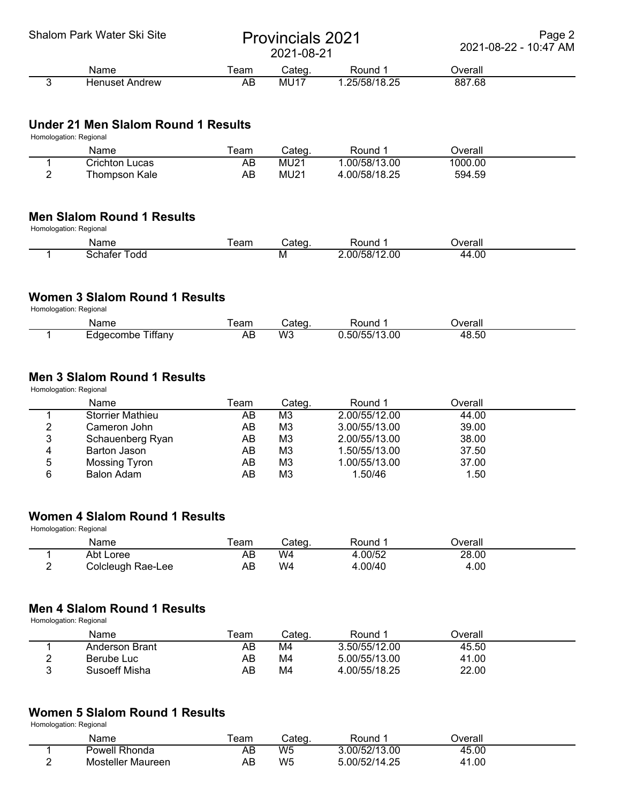#### Shalom Park Water Ski Site<br>
Provincials 2021 2021-08-21

Page 2 2021-08-22 - 10:47 AM

| -------        |     |                |                        |         |  |  |  |
|----------------|-----|----------------|------------------------|---------|--|--|--|
| Name           | eam | `nton<br>oalcu | Round                  | ⊃verall |  |  |  |
| Henuset Andrew | AB  | $MU1^-$        | .25/58/18.25<br>.29,99 | 887.68  |  |  |  |

#### **Under 21 Men Slalom Round 1 Results**

Homologation: Regional

|   | Name           | eam | Cateɑ.      | Round         | ⊃verall |  |
|---|----------------|-----|-------------|---------------|---------|--|
|   | richton Lucasٽ | AB  | <b>MU21</b> | .00/58/13.00  | 1000.00 |  |
| - | Thompson Kale  | AB  | MU21        | 4.00/58/18.25 | 594.59  |  |

#### **Men Slalom Round 1 Results**

Homologation: Regional

| Name | $ -$<br>eam | tor<br>$\sim$ | ound?       | <b>Verall</b> |
|------|-------------|---------------|-------------|---------------|
| odd  |             | M             | .00<br>`) ( | .00<br>ப      |

# **Women 3 Slalom Round 1 Results**

Homologation: Regional

| Name                             | eam | nton<br>,aιeq | ound!                           | ⊃verall                    |  |
|----------------------------------|-----|---------------|---------------------------------|----------------------------|--|
| ---<br>⊺ıffanv<br>aecombe<br>⊢пı | AВ  | W3            | $\mathbf{r}$<br>13.00<br>ריוו ה | 48.5 <sup>c</sup><br>18.5C |  |

### **Men 3 Slalom Round 1 Results**

Homologation: Regional

|   | Name             | Team | Categ.         | Round 1       | Overall |  |
|---|------------------|------|----------------|---------------|---------|--|
|   | Storrier Mathieu | AΒ   | M3             | 2.00/55/12.00 | 44.00   |  |
| 2 | Cameron John     | AB   | MЗ             | 3.00/55/13.00 | 39.00   |  |
| 3 | Schauenberg Ryan | AB   | MЗ             | 2.00/55/13.00 | 38.00   |  |
| 4 | Barton Jason     | AB   | M <sub>3</sub> | 1.50/55/13.00 | 37.50   |  |
| 5 | Mossing Tyron    | AB   | M <sub>3</sub> | 1.00/55/13.00 | 37.00   |  |
| 6 | Balon Adam       | AΒ   | MЗ             | 1.50/46       | 1.50    |  |

### **Women 4 Slalom Round 1 Results**

Homologation: Regional

|   | Name              | eam | 'aten<br>oalcu | Round  | )verall |  |
|---|-------------------|-----|----------------|--------|---------|--|
|   | Abt Loree         | AD  | W4             | .00/52 | 28.00   |  |
| - | Colcleugh Rae-Lee | AΒ  | W4             | .00/40 | 4.00    |  |

### **Men 4 Slalom Round 1 Results**

Homologation: Regional

|                | Name           | ⊺eam | Cateɑ. | Round         | Dverall |  |
|----------------|----------------|------|--------|---------------|---------|--|
|                | Anderson Brant | AB   | M4     | 3.50/55/12.00 | 45.50   |  |
| $\overline{ }$ | Berube Luc     | AB   | M4     | 5.00/55/13.00 | 41.00   |  |
|                | Susoeff Misha  | AB   | M4     | 4.00/55/18.25 | 22.00   |  |

### **Women 5 Slalom Round 1 Results**

Homologation: Regional

| Name              | eam     | 'otan<br>salcu | Round                       | <b>Dverall</b>                                   |  |
|-------------------|---------|----------------|-----------------------------|--------------------------------------------------|--|
| Powell Rhonda     | ΛF<br>ᇺ | W <sub>5</sub> | .00/52/13.00                | 45.00                                            |  |
| Mosteller Maureen | AE      | W <sub>5</sub> | つに<br>00/52/1<br>$\sqrt{ }$ | .00<br>$\Lambda$ <sup><math>\Lambda</math></sup> |  |